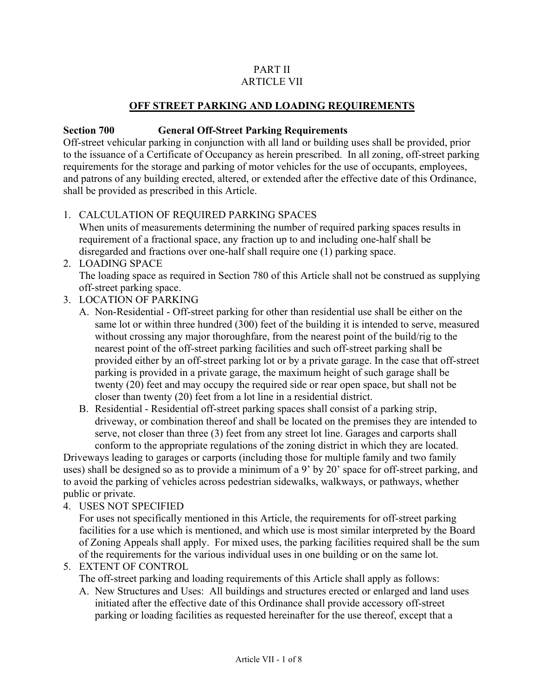#### PART II ARTICLE VII

### **OFF STREET PARKING AND LOADING REQUIREMENTS**

#### **Section 700 General Off-Street Parking Requirements**

Off-street vehicular parking in conjunction with all land or building uses shall be provided, prior to the issuance of a Certificate of Occupancy as herein prescribed. In all zoning, off-street parking requirements for the storage and parking of motor vehicles for the use of occupants, employees, and patrons of any building erected, altered, or extended after the effective date of this Ordinance, shall be provided as prescribed in this Article.

### 1. CALCULATION OF REQUIRED PARKING SPACES

When units of measurements determining the number of required parking spaces results in requirement of a fractional space, any fraction up to and including one-half shall be disregarded and fractions over one-half shall require one (1) parking space.

#### 2. LOADING SPACE

The loading space as required in Section 780 of this Article shall not be construed as supplying off-street parking space.

- 3. LOCATION OF PARKING
	- A. Non-Residential Off-street parking for other than residential use shall be either on the same lot or within three hundred (300) feet of the building it is intended to serve, measured without crossing any major thoroughfare, from the nearest point of the build/rig to the nearest point of the off-street parking facilities and such off-street parking shall be provided either by an off-street parking lot or by a private garage. In the case that off-street parking is provided in a private garage, the maximum height of such garage shall be twenty (20) feet and may occupy the required side or rear open space, but shall not be closer than twenty (20) feet from a lot line in a residential district.
	- B. Residential Residential off-street parking spaces shall consist of a parking strip, driveway, or combination thereof and shall be located on the premises they are intended to serve, not closer than three (3) feet from any street lot line. Garages and carports shall conform to the appropriate regulations of the zoning district in which they are located.

Driveways leading to garages or carports (including those for multiple family and two family uses) shall be designed so as to provide a minimum of a 9' by 20' space for off-street parking, and to avoid the parking of vehicles across pedestrian sidewalks, walkways, or pathways, whether public or private.

4. USES NOT SPECIFIED

For uses not specifically mentioned in this Article, the requirements for off-street parking facilities for a use which is mentioned, and which use is most similar interpreted by the Board of Zoning Appeals shall apply. For mixed uses, the parking facilities required shall be the sum of the requirements for the various individual uses in one building or on the same lot.

5. EXTENT OF CONTROL

The off-street parking and loading requirements of this Article shall apply as follows:

A. New Structures and Uses: All buildings and structures erected or enlarged and land uses initiated after the effective date of this Ordinance shall provide accessory off-street parking or loading facilities as requested hereinafter for the use thereof, except that a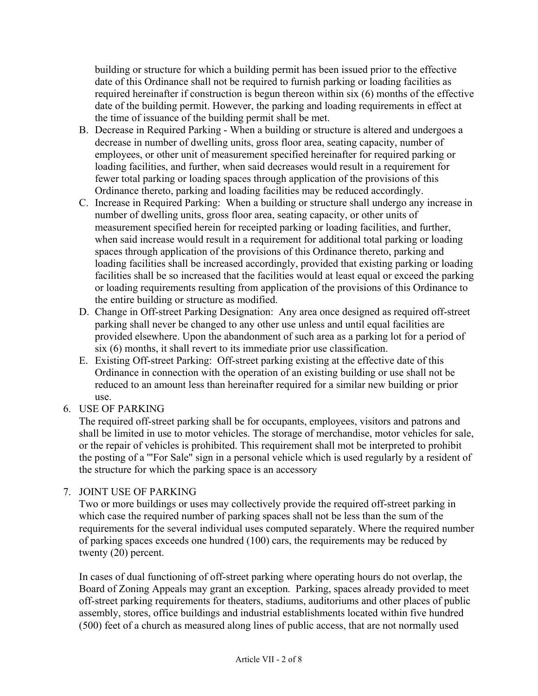building or structure for which a building permit has been issued prior to the effective date of this Ordinance shall not be required to furnish parking or loading facilities as required hereinafter if construction is begun thereon within six (6) months of the effective date of the building permit. However, the parking and loading requirements in effect at the time of issuance of the building permit shall be met.

- B. Decrease in Required Parking When a building or structure is altered and undergoes a decrease in number of dwelling units, gross floor area, seating capacity, number of employees, or other unit of measurement specified hereinafter for required parking or loading facilities, and further, when said decreases would result in a requirement for fewer total parking or loading spaces through application of the provisions of this Ordinance thereto, parking and loading facilities may be reduced accordingly.
- C. Increase in Required Parking: When a building or structure shall undergo any increase in number of dwelling units, gross floor area, seating capacity, or other units of measurement specified herein for receipted parking or loading facilities, and further, when said increase would result in a requirement for additional total parking or loading spaces through application of the provisions of this Ordinance thereto, parking and loading facilities shall be increased accordingly, provided that existing parking or loading facilities shall be so increased that the facilities would at least equal or exceed the parking or loading requirements resulting from application of the provisions of this Ordinance to the entire building or structure as modified.
- D. Change in Off-street Parking Designation: Any area once designed as required off-street parking shall never be changed to any other use unless and until equal facilities are provided elsewhere. Upon the abandonment of such area as a parking lot for a period of six (6) months, it shall revert to its immediate prior use classification.
- E. Existing Off-street Parking: Off-street parking existing at the effective date of this Ordinance in connection with the operation of an existing building or use shall not be reduced to an amount less than hereinafter required for a similar new building or prior use.
- 6. USE OF PARKING

The required off-street parking shall be for occupants, employees, visitors and patrons and shall be limited in use to motor vehicles. The storage of merchandise, motor vehicles for sale, or the repair of vehicles is prohibited. This requirement shall mot be interpreted to prohibit the posting of a '"For Sale" sign in a personal vehicle which is used regularly by a resident of the structure for which the parking space is an accessory

### 7. JOINT USE OF PARKING

Two or more buildings or uses may collectively provide the required off-street parking in which case the required number of parking spaces shall not be less than the sum of the requirements for the several individual uses computed separately. Where the required number of parking spaces exceeds one hundred (100) cars, the requirements may be reduced by twenty (20) percent.

In cases of dual functioning of off-street parking where operating hours do not overlap, the Board of Zoning Appeals may grant an exception. Parking, spaces already provided to meet off-street parking requirements for theaters, stadiums, auditoriums and other places of public assembly, stores, office buildings and industrial establishments located within five hundred (500) feet of a church as measured along lines of public access, that are not normally used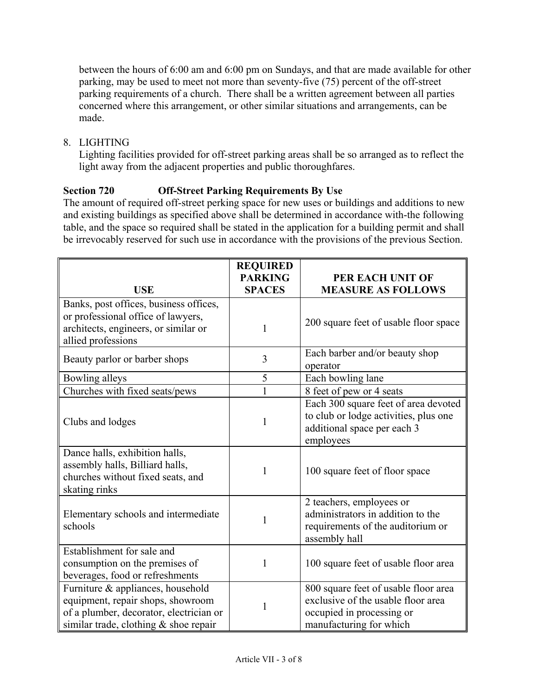between the hours of 6:00 am and 6:00 pm on Sundays, and that are made available for other parking, may be used to meet not more than seventy-five (75) percent of the off-street parking requirements of a church. There shall be a written agreement between all parties concerned where this arrangement, or other similar situations and arrangements, can be made.

8. LIGHTING

Lighting facilities provided for off-street parking areas shall be so arranged as to reflect the light away from the adjacent properties and public thoroughfares.

# **Section 720 Off-Street Parking Requirements By Use**

The amount of required off-street perking space for new uses or buildings and additions to new and existing buildings as specified above shall be determined in accordance with-the following table, and the space so required shall be stated in the application for a building permit and shall be irrevocably reserved for such use in accordance with the provisions of the previous Section.

| <b>USE</b>                                                                                                                                                   | <b>REQUIRED</b><br><b>PARKING</b><br><b>SPACES</b> | PER EACH UNIT OF<br><b>MEASURE AS FOLLOWS</b>                                                                                      |
|--------------------------------------------------------------------------------------------------------------------------------------------------------------|----------------------------------------------------|------------------------------------------------------------------------------------------------------------------------------------|
|                                                                                                                                                              |                                                    |                                                                                                                                    |
| Banks, post offices, business offices,<br>or professional office of lawyers,<br>architects, engineers, or similar or<br>allied professions                   | 1                                                  | 200 square feet of usable floor space                                                                                              |
| Beauty parlor or barber shops                                                                                                                                | 3                                                  | Each barber and/or beauty shop<br>operator                                                                                         |
| Bowling alleys                                                                                                                                               | 5                                                  | Each bowling lane                                                                                                                  |
| Churches with fixed seats/pews                                                                                                                               |                                                    | 8 feet of pew or 4 seats                                                                                                           |
| Clubs and lodges                                                                                                                                             | 1                                                  | Each 300 square feet of area devoted<br>to club or lodge activities, plus one<br>additional space per each 3<br>employees          |
| Dance halls, exhibition halls,<br>assembly halls, Billiard halls,<br>churches without fixed seats, and<br>skating rinks                                      | 1                                                  | 100 square feet of floor space                                                                                                     |
| Elementary schools and intermediate<br>schools                                                                                                               | 1                                                  | 2 teachers, employees or<br>administrators in addition to the<br>requirements of the auditorium or<br>assembly hall                |
| Establishment for sale and<br>consumption on the premises of<br>beverages, food or refreshments                                                              | 1                                                  | 100 square feet of usable floor area                                                                                               |
| Furniture & appliances, household<br>equipment, repair shops, showroom<br>of a plumber, decorator, electrician or<br>similar trade, clothing $&$ shoe repair | 1                                                  | 800 square feet of usable floor area<br>exclusive of the usable floor area<br>occupied in processing or<br>manufacturing for which |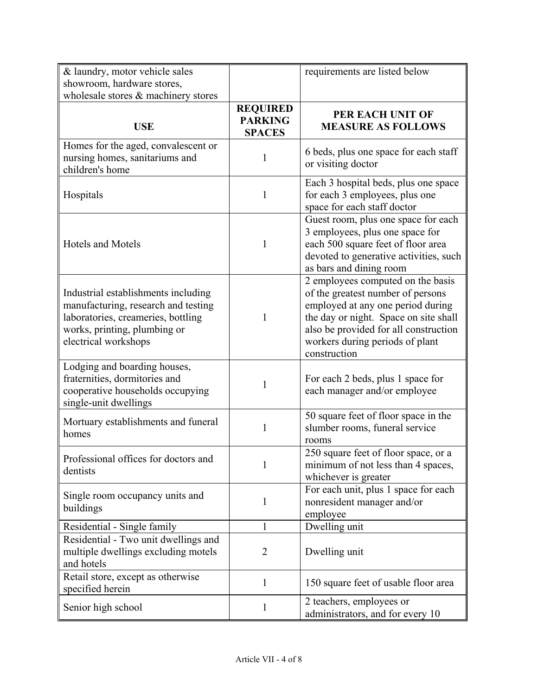| & laundry, motor vehicle sales<br>showroom, hardware stores,<br>wholesale stores & machinery stores                                                                      |                                                    | requirements are listed below                                                                                                                                                                                                                    |
|--------------------------------------------------------------------------------------------------------------------------------------------------------------------------|----------------------------------------------------|--------------------------------------------------------------------------------------------------------------------------------------------------------------------------------------------------------------------------------------------------|
| <b>USE</b>                                                                                                                                                               | <b>REQUIRED</b><br><b>PARKING</b><br><b>SPACES</b> | PER EACH UNIT OF<br><b>MEASURE AS FOLLOWS</b>                                                                                                                                                                                                    |
| Homes for the aged, convalescent or<br>nursing homes, sanitariums and<br>children's home                                                                                 | 1                                                  | 6 beds, plus one space for each staff<br>or visiting doctor                                                                                                                                                                                      |
| Hospitals                                                                                                                                                                | 1                                                  | Each 3 hospital beds, plus one space<br>for each 3 employees, plus one<br>space for each staff doctor                                                                                                                                            |
| <b>Hotels and Motels</b>                                                                                                                                                 | 1                                                  | Guest room, plus one space for each<br>3 employees, plus one space for<br>each 500 square feet of floor area<br>devoted to generative activities, such<br>as bars and dining room                                                                |
| Industrial establishments including<br>manufacturing, research and testing<br>laboratories, creameries, bottling<br>works, printing, plumbing or<br>electrical workshops | 1                                                  | 2 employees computed on the basis<br>of the greatest number of persons<br>employed at any one period during<br>the day or night. Space on site shall<br>also be provided for all construction<br>workers during periods of plant<br>construction |
| Lodging and boarding houses,<br>fraternities, dormitories and<br>cooperative households occupying<br>single-unit dwellings                                               | 1                                                  | For each 2 beds, plus 1 space for<br>each manager and/or employee                                                                                                                                                                                |
| Mortuary establishments and funeral<br>homes                                                                                                                             | 1                                                  | 50 square feet of floor space in the<br>slumber rooms, funeral service<br>rooms                                                                                                                                                                  |
| Professional offices for doctors and<br>dentists                                                                                                                         | 1                                                  | 250 square feet of floor space, or a<br>minimum of not less than 4 spaces,<br>whichever is greater                                                                                                                                               |
| Single room occupancy units and<br>buildings                                                                                                                             | $\mathbf{1}$                                       | For each unit, plus 1 space for each<br>nonresident manager and/or<br>employee                                                                                                                                                                   |
| Residential - Single family                                                                                                                                              | 1                                                  | Dwelling unit                                                                                                                                                                                                                                    |
| Residential - Two unit dwellings and<br>multiple dwellings excluding motels<br>and hotels                                                                                | $\overline{2}$                                     | Dwelling unit                                                                                                                                                                                                                                    |
| Retail store, except as otherwise<br>specified herein                                                                                                                    | 1                                                  | 150 square feet of usable floor area                                                                                                                                                                                                             |
| Senior high school                                                                                                                                                       | $\mathbf{1}$                                       | 2 teachers, employees or<br>administrators, and for every 10                                                                                                                                                                                     |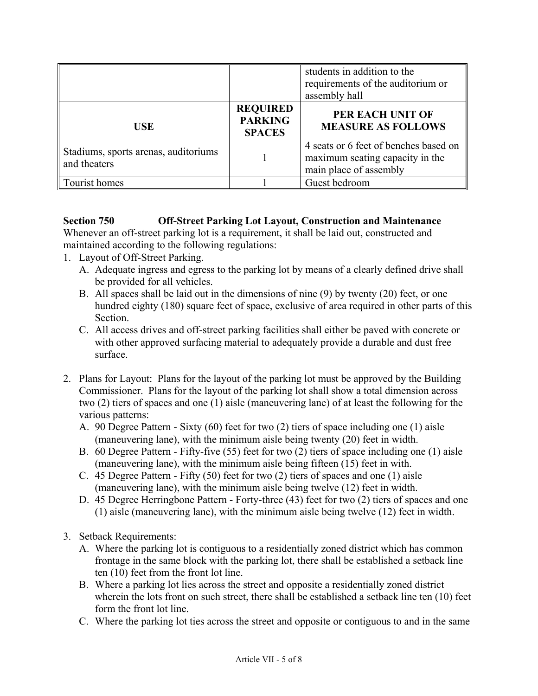|                                                      |                                                    | students in addition to the<br>requirements of the auditorium or<br>assembly hall                  |
|------------------------------------------------------|----------------------------------------------------|----------------------------------------------------------------------------------------------------|
| USE                                                  | <b>REQUIRED</b><br><b>PARKING</b><br><b>SPACES</b> | PER EACH UNIT OF<br><b>MEASURE AS FOLLOWS</b>                                                      |
| Stadiums, sports arenas, auditoriums<br>and theaters |                                                    | 4 seats or 6 feet of benches based on<br>maximum seating capacity in the<br>main place of assembly |
| Tourist homes                                        |                                                    | Guest bedroom                                                                                      |

## **Section 750 Off-Street Parking Lot Layout, Construction and Maintenance**

Whenever an off-street parking lot is a requirement, it shall be laid out, constructed and maintained according to the following regulations:

- 1. Layout of Off-Street Parking.
	- A. Adequate ingress and egress to the parking lot by means of a clearly defined drive shall be provided for all vehicles.
	- B. All spaces shall be laid out in the dimensions of nine (9) by twenty (20) feet, or one hundred eighty (180) square feet of space, exclusive of area required in other parts of this Section.
	- C. All access drives and off-street parking facilities shall either be paved with concrete or with other approved surfacing material to adequately provide a durable and dust free surface.
- 2. Plans for Layout: Plans for the layout of the parking lot must be approved by the Building Commissioner. Plans for the layout of the parking lot shall show a total dimension across two (2) tiers of spaces and one (1) aisle (maneuvering lane) of at least the following for the various patterns:
	- A. 90 Degree Pattern Sixty (60) feet for two (2) tiers of space including one (1) aisle (maneuvering lane), with the minimum aisle being twenty (20) feet in width.
	- B. 60 Degree Pattern Fifty-five (55) feet for two (2) tiers of space including one (1) aisle (maneuvering lane), with the minimum aisle being fifteen (15) feet in with.
	- C. 45 Degree Pattern Fifty (50) feet for two (2) tiers of spaces and one (1) aisle (maneuvering lane), with the minimum aisle being twelve (12) feet in width.
	- D. 45 Degree Herringbone Pattern Forty-three (43) feet for two (2) tiers of spaces and one (1) aisle (maneuvering lane), with the minimum aisle being twelve (12) feet in width.
- 3. Setback Requirements:
	- A. Where the parking lot is contiguous to a residentially zoned district which has common frontage in the same block with the parking lot, there shall be established a setback line ten (10) feet from the front lot line.
	- B. Where a parking lot lies across the street and opposite a residentially zoned district wherein the lots front on such street, there shall be established a setback line ten (10) feet form the front lot line.
	- C. Where the parking lot ties across the street and opposite or contiguous to and in the same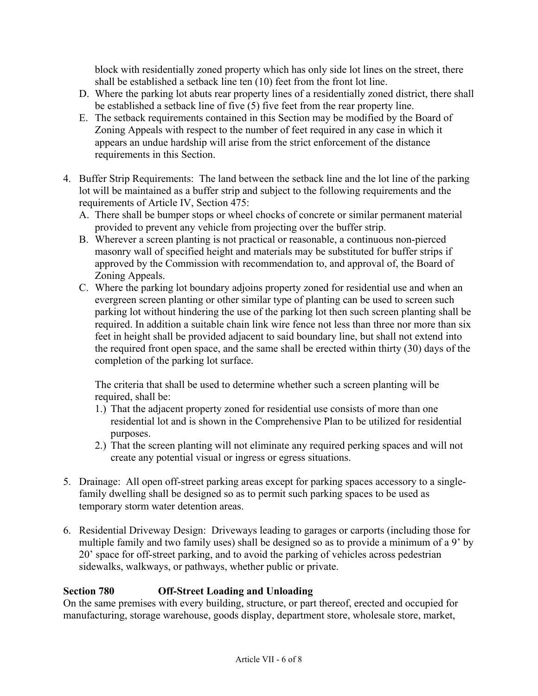block with residentially zoned property which has only side lot lines on the street, there shall be established a setback line ten (10) feet from the front lot line.

- D. Where the parking lot abuts rear property lines of a residentially zoned district, there shall be established a setback line of five (5) five feet from the rear property line.
- E. The setback requirements contained in this Section may be modified by the Board of Zoning Appeals with respect to the number of feet required in any case in which it appears an undue hardship will arise from the strict enforcement of the distance requirements in this Section.
- 4. Buffer Strip Requirements: The land between the setback line and the lot line of the parking lot will be maintained as a buffer strip and subject to the following requirements and the requirements of Article IV, Section 475:
	- A. There shall be bumper stops or wheel chocks of concrete or similar permanent material provided to prevent any vehicle from projecting over the buffer strip.
	- B. Wherever a screen planting is not practical or reasonable, a continuous non-pierced masonry wall of specified height and materials may be substituted for buffer strips if approved by the Commission with recommendation to, and approval of, the Board of Zoning Appeals.
	- C. Where the parking lot boundary adjoins property zoned for residential use and when an evergreen screen planting or other similar type of planting can be used to screen such parking lot without hindering the use of the parking lot then such screen planting shall be required. In addition a suitable chain link wire fence not less than three nor more than six feet in height shall be provided adjacent to said boundary line, but shall not extend into the required front open space, and the same shall be erected within thirty (30) days of the completion of the parking lot surface.

The criteria that shall be used to determine whether such a screen planting will be required, shall be:

- 1.) That the adjacent property zoned for residential use consists of more than one residential lot and is shown in the Comprehensive Plan to be utilized for residential purposes.
- 2.) That the screen planting will not eliminate any required perking spaces and will not create any potential visual or ingress or egress situations.
- 5. Drainage: All open off-street parking areas except for parking spaces accessory to a singlefamily dwelling shall be designed so as to permit such parking spaces to be used as temporary storm water detention areas.
- 6. Residential Driveway Design: Driveways leading to garages or carports (including those for multiple family and two family uses) shall be designed so as to provide a minimum of a 9' by 20' space for off-street parking, and to avoid the parking of vehicles across pedestrian sidewalks, walkways, or pathways, whether public or private.

# **Section 780 Off-Street Loading and Unloading**

On the same premises with every building, structure, or part thereof, erected and occupied for manufacturing, storage warehouse, goods display, department store, wholesale store, market,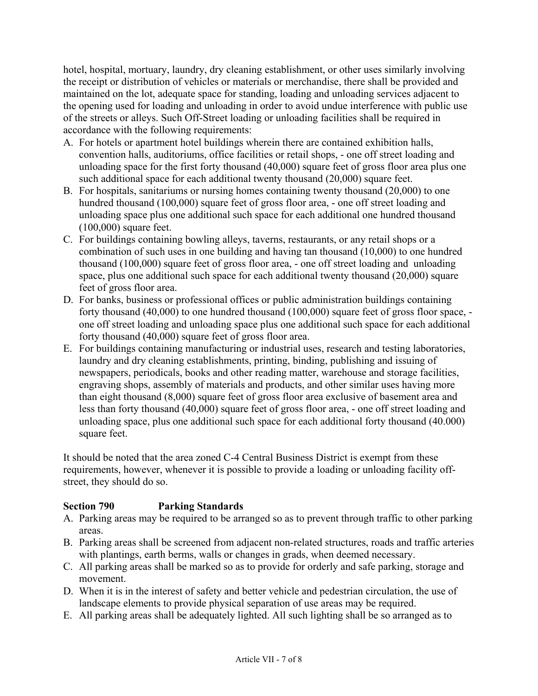hotel, hospital, mortuary, laundry, dry cleaning establishment, or other uses similarly involving the receipt or distribution of vehicles or materials or merchandise, there shall be provided and maintained on the lot, adequate space for standing, loading and unloading services adjacent to the opening used for loading and unloading in order to avoid undue interference with public use of the streets or alleys. Such Off-Street loading or unloading facilities shall be required in accordance with the following requirements:

- A. For hotels or apartment hotel buildings wherein there are contained exhibition halls, convention halls, auditoriums, office facilities or retail shops, - one off street loading and unloading space for the first forty thousand (40,000) square feet of gross floor area plus one such additional space for each additional twenty thousand (20,000) square feet.
- B. For hospitals, sanitariums or nursing homes containing twenty thousand (20,000) to one hundred thousand (100,000) square feet of gross floor area, - one off street loading and unloading space plus one additional such space for each additional one hundred thousand (100,000) square feet.
- C. For buildings containing bowling alleys, taverns, restaurants, or any retail shops or a combination of such uses in one building and having tan thousand (10,000) to one hundred thousand (100,000) square feet of gross floor area, - one off street loading and unloading space, plus one additional such space for each additional twenty thousand (20,000) square feet of gross floor area.
- D. For banks, business or professional offices or public administration buildings containing forty thousand (40,000) to one hundred thousand (100,000) square feet of gross floor space, one off street loading and unloading space plus one additional such space for each additional forty thousand (40,000) square feet of gross floor area.
- E. For buildings containing manufacturing or industrial uses, research and testing laboratories, laundry and dry cleaning establishments, printing, binding, publishing and issuing of newspapers, periodicals, books and other reading matter, warehouse and storage facilities, engraving shops, assembly of materials and products, and other similar uses having more than eight thousand (8,000) square feet of gross floor area exclusive of basement area and less than forty thousand (40,000) square feet of gross floor area, - one off street loading and unloading space, plus one additional such space for each additional forty thousand (40.000) square feet.

It should be noted that the area zoned C-4 Central Business District is exempt from these requirements, however, whenever it is possible to provide a loading or unloading facility offstreet, they should do so.

### **Section 790 Parking Standards**

- A. Parking areas may be required to be arranged so as to prevent through traffic to other parking areas.
- B. Parking areas shall be screened from adjacent non-related structures, roads and traffic arteries with plantings, earth berms, walls or changes in grads, when deemed necessary.
- C. All parking areas shall be marked so as to provide for orderly and safe parking, storage and movement.
- D. When it is in the interest of safety and better vehicle and pedestrian circulation, the use of landscape elements to provide physical separation of use areas may be required.
- E. All parking areas shall be adequately lighted. All such lighting shall be so arranged as to